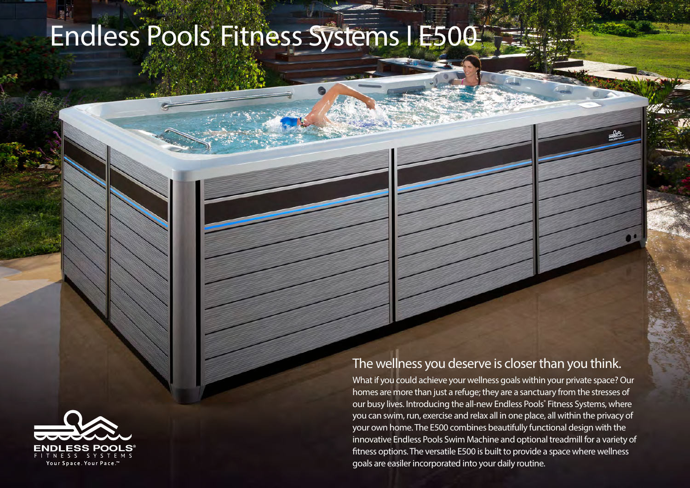## Endless Pools Fitness Systems I E500



## The wellness you deserve is closer than you think.

What if you could achieve your wellness goals within your private space? Our homes are more than just a refuge; they are a sanctuary from the stresses of our busy lives. Introducing the all-new Endless Pools® Fitness Systems, where you can swim, run, exercise and relax all in one place, all within the privacy of your own home. The E500 combines beautifully functional design with the innovative Endless Pools Swim Machine and optional treadmill for a variety of fitness options. The versatile E500 is built to provide a space where wellness goals are easiler incorporated into your daily routine.